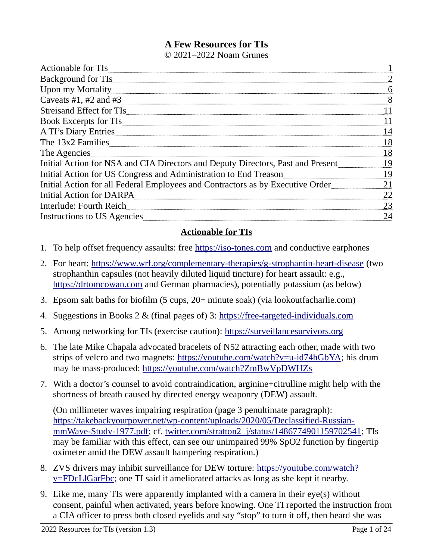# A Few Resources for TIs

© 2021–2022 Noam Grunes

| <b>Actionable for TIs</b>                                                       |     |
|---------------------------------------------------------------------------------|-----|
| Background for TIs                                                              |     |
| Upon my Mortality                                                               |     |
| Caveats #1, #2 and #3                                                           |     |
| <b>Streisand Effect for TIs</b>                                                 |     |
| Book Excerpts for TIs                                                           |     |
| A TI's Diary Entries                                                            | l 4 |
| The 13x2 Families                                                               | 18  |
|                                                                                 | 18  |
| Initial Action for NSA and CIA Directors and Deputy Directors, Past and Present | 19  |
| Initial Action for US Congress and Administration to End Treason                | 19  |
| Initial Action for all Federal Employees and Contractors as by Executive Order  | 21  |
| <b>Initial Action for DARPA</b>                                                 | 22  |
| Interlude: Fourth Reich                                                         | 23  |
| Instructions to US Agencies                                                     | 24  |

### Actionable for TIs

- 1. To help offset frequency assaults: free https://iso-tones.com and conductive earphones
- 2. For heart: https://www.wrf.org/complementary-therapies/g-strophantin-heart-disease (two strophanthin capsules (not heavily diluted liquid tincture) for heart assault: e.g., https://drtomcowan.com and German pharmacies), potentially potassium (as below)
- 3. Epsom salt baths for biofilm (5 cups, 20+ minute soak) (via lookoutfacharlie.com)
- 4. Suggestions in Books 2 & (final pages of) 3: https://free-targeted-individuals.com
- 5. Among networking for TIs (exercise caution): https:// surveillancesurvivors.org
- 6. The late Mike Chapala advocated bracelets of N52 attracting each other, made with two strips of velcro and two magnets: https://youtube.com/watch?v=u-id74hGbYA; his drum may be mass-produced: https://youtube.com/watch?ZmBwVpDWHZs
- 7. With a doctor's counsel to avoid contraindication, arginine+citrulline might help with the shortness of breath caused by directed energy weaponry (DEW) assault.

(On millimeter waves impairing respiration (page 3 penultimate paragraph): https://takebackyourpower.net/wp-content/uploads/2020/05/Declassified-RussianmmWave-Study-1977.pdf; cf. twitter.com/stratton2\_j/status/1486774901159702541; TIs may be familiar with this effect, can see our unimpaired 99% SpO2 function by fingertip oximeter amid the DEW assault hampering respiration.)

- 8. ZVS drivers may inhibit surveillance for DEW torture: https://youtube.com/watch? v=FDcLlGarFbc; one TI said it ameliorated attacks as long as she kept it nearby.
- 9. Like me, many TIs were apparently implanted with a camera in their eye(s) without consent, painful when activated, years before knowing. One TI reported the instruction from a CIA officer to press both closed eyelids and say "stop" to turn it off, then heard she was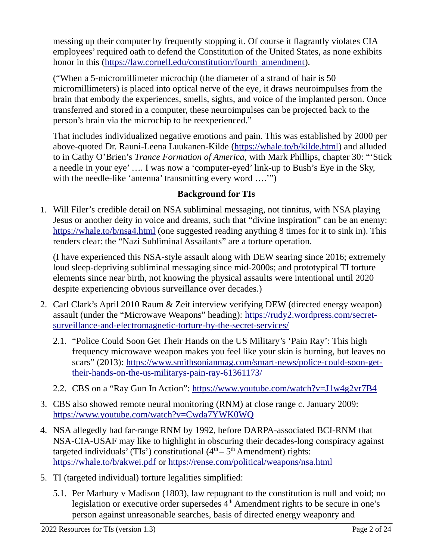messing up their computer by frequently stopping it. Of course it flagrantly violates CIA employees' required oath to defend the Constitution of the United States, as none exhibits honor in this (https://law.cornell.edu/constitution/fourth\_amendment).

("When a 5-micromillimeter microchip (the diameter of a strand of hair is 50 micromillimeters) is placed into optical nerve of the eye, it draws neuroimpulses from the brain that embody the experiences, smells, sights, and voice of the implanted person. Once transferred and stored in a computer, these neuroimpulses can be projected back to the person's brain via the microchip to be reexperienced."

That includes individualized negative emotions and pain. This was established by 2000 per above-quoted Dr. Rauni-Leena Luukanen-Kilde (https://whale.to/b/kilde.html) and alluded to in Cathy O'Brien's Trance Formation of America, with Mark Phillips, chapter 30: "'Stick a needle in your eye' …. I was now a 'computer-eyed' link-up to Bush's Eye in the Sky, with the needle-like 'antenna' transmitting every word ....'")

# Background for TIs

1. Will Filer's credible detail on NSA subliminal messaging, not tinnitus, with NSA playing Jesus or another deity in voice and dreams, such that "divine inspiration" can be an enemy: https://whale.to/b/nsa4.html (one suggested reading anything 8 times for it to sink in). This renders clear: the "Nazi Subliminal Assailants" are a torture operation.

(I have experienced this NSA-style assault along with DEW searing since 2016; extremely loud sleep-depriving subliminal messaging since mid-2000s; and prototypical TI torture elements since near birth, not knowing the physical assaults were intentional until 2020 despite experiencing obvious surveillance over decades.)

- 2. Carl Clark's April 2010 Raum & Zeit interview verifying DEW (directed energy weapon) assault (under the "Microwave Weapons" heading): https://rudy2.wordpress.com/secretsurveillance-and-electromagnetic-torture-by-the-secret-services/
	- 2.1. "Police Could Soon Get Their Hands on the US Military's 'Pain Ray': This high frequency microwave weapon makes you feel like your skin is burning, but leaves no scars" (2013): https://www.smithsonianmag.com/smart-news/police-could-soon-gettheir-hands-on-the-us-militarys-pain-ray-61361173/
	- 2.2. CBS on a "Ray Gun In Action": https://www.youtube.com/watch?v=J1w4g2vr7B4
- 3. CBS also showed remote neural monitoring (RNM) at close range c. January 2009: https://www.youtube.com/watch?v=Cwda7YWK0WQ
- 4. NSA allegedly had far-range RNM by 1992, before DARPA-associated BCI-RNM that NSA-CIA-USAF may like to highlight in obscuring their decades-long conspiracy against targeted individuals' (TIs') constitutional  $(4<sup>th</sup> – 5<sup>th</sup>$  Amendment) rights: https://whale.to/b/akwei.pdf or https://rense.com/political/weapons/nsa.html
- 5. TI (targeted individual) torture legalities simplified:
	- 5.1. Per Marbury v Madison (1803), law repugnant to the constitution is null and void; no legislation or executive order supersedes  $4<sup>th</sup>$  Amendment rights to be secure in one's person against unreasonable searches, basis of directed energy weaponry and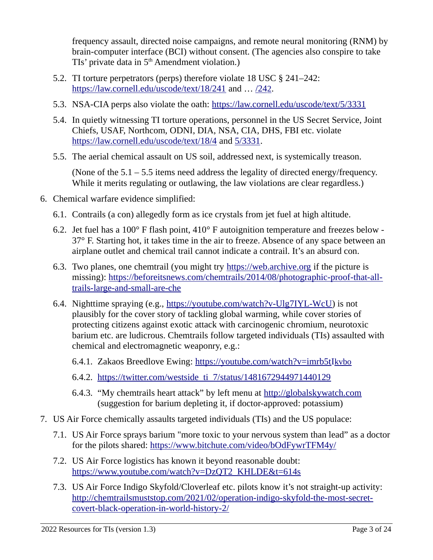frequency assault, directed noise campaigns, and remote neural monitoring (RNM) by brain-computer interface (BCI) without consent. (The agencies also conspire to take TIs' private data in  $5<sup>th</sup>$  Amendment violation.)

- 5.2. TI torture perpetrators (perps) therefore violate 18 USC § 241–242: https://law.cornell.edu/uscode/text/18/241 and ... /242.
- 5.3. NSA-CIA perps also violate the oath: https://law.cornell.edu/uscode/text/5/3331
- 5.4. In quietly witnessing TI torture operations, personnel in the US Secret Service, Joint Chiefs, USAF, Northcom, ODNI, DIA, NSA, CIA, DHS, FBI etc. violate https://law.cornell.edu/uscode/text/18/4 and 5/3331.
- 5.5. The aerial chemical assault on US soil, addressed next, is systemically treason.

(None of the 5.1 – 5.5 items need address the legality of directed energy/frequency. While it merits regulating or outlawing, the law violations are clear regardless.)

- 6. Chemical warfare evidence simplified:
	- 6.1. Contrails (a con) allegedly form as ice crystals from jet fuel at high altitude.
	- 6.2. Jet fuel has a 100° F flash point, 410° F autoignition temperature and freezes below 37° F. Starting hot, it takes time in the air to freeze. Absence of any space between an airplane outlet and chemical trail cannot indicate a contrail. It's an absurd con.
	- 6.3. Two planes, one chemtrail (you might try https://web.archive.org if the picture is missing): https://beforeitsnews.com/chemtrails/2014/08/photographic-proof-that-alltrails-large-and-small-are-che
	- 6.4. Nighttime spraying (e.g., https://youtube.com/watch?v-Ulg7IYL-WcU) is not plausibly for the cover story of tackling global warming, while cover stories of protecting citizens against exotic attack with carcinogenic chromium, neurotoxic barium etc. are ludicrous. Chemtrails follow targeted individuals (TIs) assaulted with chemical and electromagnetic weaponry, e.g.:
		- 6.4.1. Zakaos Breedlove Ewing: https://youtube.com/watch?v=imrb5tIkvbo
		- 6.4.2. https://twitter.com/westside\_ti\_7/status/1481672944971440129
		- 6.4.3. "My chemtrails heart attack" by left menu at http://globalskywatch.com (suggestion for barium depleting it, if doctor-approved: potassium)
- 7. US Air Force chemically assaults targeted individuals (TIs) and the US populace:
	- 7.1. US Air Force sprays barium "more toxic to your nervous system than lead" as a doctor for the pilots shared: https://www.bitchute.com/video/bOdFywrTFM4y/
	- 7.2. US Air Force logistics has known it beyond reasonable doubt: https://www.youtube.com/watch?v=DzQT2\_KHLDE&t=614s
	- 7.3. US Air Force Indigo Skyfold/Cloverleaf etc. pilots know it's not straight-up activity: http://chemtrailsmuststop.com/2021/02/operation-indigo-skyfold-the-most-secretcovert-black-operation-in-world-history-2/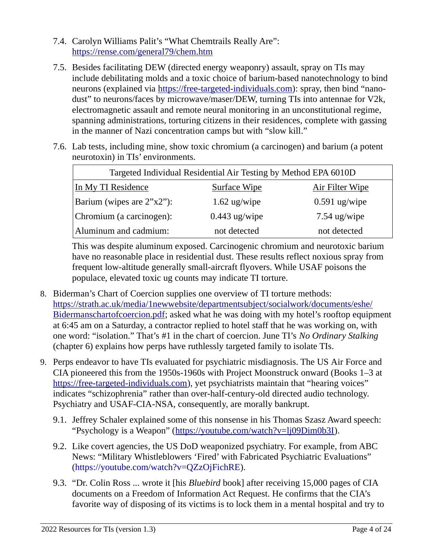- 7.4. Carolyn Williams Palit's "What Chemtrails Really Are": https://rense.com/general79/chem.htm
- 7.5. Besides facilitating DEW (directed energy weaponry) assault, spray on TIs may include debilitating molds and a toxic choice of barium-based nanotechnology to bind neurons (explained via https://free-targeted-individuals.com): spray, then bind "nanodust" to neurons/faces by microwave/maser/DEW, turning TIs into antennae for V2k, electromagnetic assault and remote neural monitoring in an unconstitutional regime, spanning administrations, torturing citizens in their residences, complete with gassing in the manner of Nazi concentration camps but with "slow kill."
- 7.6. Lab tests, including mine, show toxic chromium (a carcinogen) and barium (a potent neurotoxin) in TIs' environments.

| Targeted Individual Residential Air Testing by Method EPA 6010D |                     |                        |  |
|-----------------------------------------------------------------|---------------------|------------------------|--|
| In My TI Residence                                              | <b>Surface Wipe</b> | <b>Air Filter Wipe</b> |  |
| Barium (wipes are 2"x2"):                                       | $1.62$ ug/wipe      | $0.591$ ug/wipe        |  |
| Chromium (a carcinogen):                                        | $0.443$ ug/wipe     | $7.54$ ug/wipe         |  |
| Aluminum and cadmium:                                           | not detected        | not detected           |  |

This was despite aluminum exposed. Carcinogenic chromium and neurotoxic barium have no reasonable place in residential dust. These results reflect noxious spray from frequent low-altitude generally small-aircraft flyovers. While USAF poisons the populace, elevated toxic ug counts may indicate TI torture.

- 8. Biderman's Chart of Coercion supplies one overview of TI torture methods: https://strath.ac.uk/media/1newwebsite/departmentsubject/socialwork/documents/eshe/ Bidermanschartofcoercion.pdf; asked what he was doing with my hotel's rooftop equipment at 6:45 am on a Saturday, a contractor replied to hotel staff that he was working on, with one word: "isolation." That's #1 in the chart of coercion. June TI's No Ordinary Stalking (chapter 6) explains how perps have ruthlessly targeted family to isolate TIs.
- 9. Perps endeavor to have TIs evaluated for psychiatric misdiagnosis. The US Air Force and CIA pioneered this from the 1950s-1960s with Project Moonstruck onward (Books 1–3 at https://free-targeted-individuals.com), yet psychiatrists maintain that "hearing voices" indicates "schizophrenia" rather than over-half-century-old directed audio technology. Psychiatry and USAF-CIA-NSA, consequently, are morally bankrupt.
	- 9.1. Jeffrey Schaler explained some of this nonsense in his Thomas Szasz Award speech: "Psychology is a Weapon" (https://youtube.com/watch?v=lj09Dim0b3I).
	- 9.2. Like covert agencies, the US DoD weaponized psychiatry. For example, from ABC News: "Military Whistleblowers 'Fired' with Fabricated Psychiatric Evaluations" (https://youtube.com/watch?v=QZzOjFichRE).
	- 9.3. "Dr. Colin Ross ... wrote it [his Bluebird book] after receiving 15,000 pages of CIA documents on a Freedom of Information Act Request. He confirms that the CIA's favorite way of disposing of its victims is to lock them in a mental hospital and try to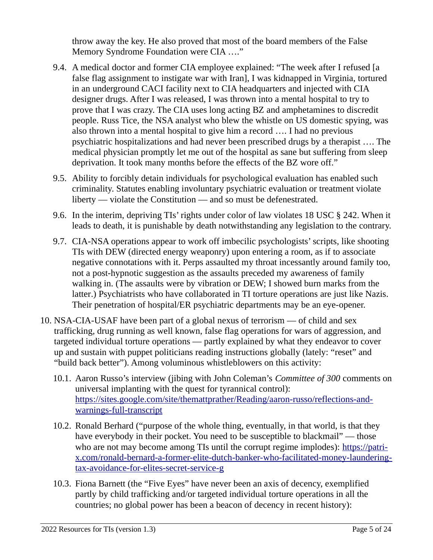throw away the key. He also proved that most of the board members of the False Memory Syndrome Foundation were CIA …."

- 9.4. A medical doctor and former CIA employee explained: "The week after I refused [a false flag assignment to instigate war with Iran], I was kidnapped in Virginia, tortured in an underground CACI facility next to CIA headquarters and injected with CIA designer drugs. After I was released, I was thrown into a mental hospital to try to prove that I was crazy. The CIA uses long acting BZ and amphetamines to discredit people. Russ Tice, the NSA analyst who blew the whistle on US domestic spying, was also thrown into a mental hospital to give him a record …. I had no previous psychiatric hospitalizations and had never been prescribed drugs by a therapist …. The medical physician promptly let me out of the hospital as sane but suffering from sleep deprivation. It took many months before the effects of the BZ wore off."
- 9.5. Ability to forcibly detain individuals for psychological evaluation has enabled such criminality. Statutes enabling involuntary psychiatric evaluation or treatment violate liberty — violate the Constitution — and so must be defenestrated.
- 9.6. In the interim, depriving TIs' rights under color of law violates 18 USC § 242. When it leads to death, it is punishable by death notwithstanding any legislation to the contrary.
- 9.7. CIA-NSA operations appear to work off imbecilic psychologists' scripts, like shooting TIs with DEW (directed energy weaponry) upon entering a room, as if to associate negative connotations with it. Perps assaulted my throat incessantly around family too, not a post-hypnotic suggestion as the assaults preceded my awareness of family walking in. (The assaults were by vibration or DEW; I showed burn marks from the latter.) Psychiatrists who have collaborated in TI torture operations are just like Nazis. Their penetration of hospital/ER psychiatric departments may be an eye-opener.
- 10. NSA-CIA-USAF have been part of a global nexus of terrorism of child and sex trafficking, drug running as well known, false flag operations for wars of aggression, and targeted individual torture operations — partly explained by what they endeavor to cover up and sustain with puppet politicians reading instructions globally (lately: "reset" and "build back better"). Among voluminous whistleblowers on this activity:
	- 10.1. Aaron Russo's interview (jibing with John Coleman's Committee of 300 comments on universal implanting with the quest for tyrannical control): https://sites.google.com/site/themattprather/Reading/aaron-russo/reflections-andwarnings-full-transcript
	- 10.2. Ronald Berhard ("purpose of the whole thing, eventually, in that world, is that they have everybody in their pocket. You need to be susceptible to blackmail" — those who are not may become among TIs until the corrupt regime implodes): https://patrix.com/ronald-bernard-a-former-elite-dutch-banker-who-facilitated-money-launderingtax-avoidance-for-elites-secret-service-g
	- 10.3. Fiona Barnett (the "Five Eyes" have never been an axis of decency, exemplified partly by child trafficking and/or targeted individual torture operations in all the countries; no global power has been a beacon of decency in recent history):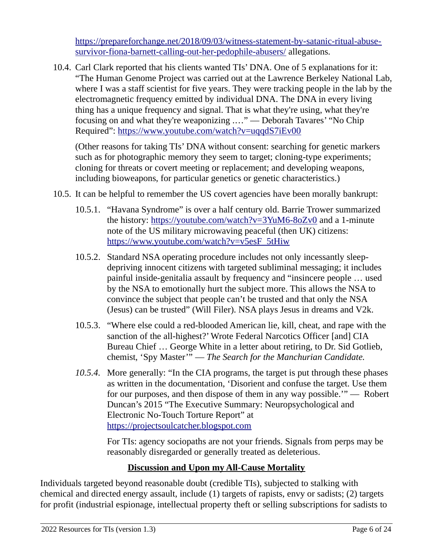https://prepareforchange.net/2018/09/03/witness-statement-by-satanic-ritual-abusesurvivor-fiona-barnett-calling-out-her-pedophile-abusers/ allegations.

10.4. Carl Clark reported that his clients wanted TIs' DNA. One of 5 explanations for it: "The Human Genome Project was carried out at the Lawrence Berkeley National Lab, where I was a staff scientist for five years. They were tracking people in the lab by the electromagnetic frequency emitted by individual DNA. The DNA in every living thing has a unique frequency and signal. That is what they're using, what they're focusing on and what they're weaponizing .…" — Deborah Tavares' "No Chip Required": https://www.youtube.com/watch?v=uqqdS7iEv00

(Other reasons for taking TIs' DNA without consent: searching for genetic markers such as for photographic memory they seem to target; cloning-type experiments; cloning for threats or covert meeting or replacement; and developing weapons, including bioweapons, for particular genetics or genetic characteristics.)

- 10.5. It can be helpful to remember the US covert agencies have been morally bankrupt:
	- 10.5.1. "Havana Syndrome" is over a half century old. Barrie Trower summarized the history: https://youtube.com/watch?v=3YuM6-8oZv0 and a 1-minute note of the US military microwaving peaceful (then UK) citizens: https://www.youtube.com/watch?v=v5esF\_5tHiw
	- 10.5.2. Standard NSA operating procedure includes not only incessantly sleepdepriving innocent citizens with targeted subliminal messaging; it includes painful inside-genitalia assault by frequency and "insincere people … used by the NSA to emotionally hurt the subject more. This allows the NSA to convince the subject that people can't be trusted and that only the NSA (Jesus) can be trusted" (Will Filer). NSA plays Jesus in dreams and V2k.
	- 10.5.3. "Where else could a red-blooded American lie, kill, cheat, and rape with the sanction of the all-highest?' Wrote Federal Narcotics Officer [and] CIA Bureau Chief … George White in a letter about retiring, to Dr. Sid Gotlieb, chemist, 'Spy Master'" — The Search for the Manchurian Candidate.
	- 10.5.4. More generally: "In the CIA programs, the target is put through these phases as written in the documentation, 'Disorient and confuse the target. Use them for our purposes, and then dispose of them in any way possible.'" — Robert Duncan's 2015 "The Executive Summary: Neuropsychological and Electronic No-Touch Torture Report" at https://projectsoulcatcher.blogspot.com

For TIs: agency sociopaths are not your friends. Signals from perps may be reasonably disregarded or generally treated as deleterious.

### Discussion and Upon my All-Cause Mortality

Individuals targeted beyond reasonable doubt (credible TIs), subjected to stalking with chemical and directed energy assault, include (1) targets of rapists, envy or sadists; (2) targets for profit (industrial espionage, intellectual property theft or selling subscriptions for sadists to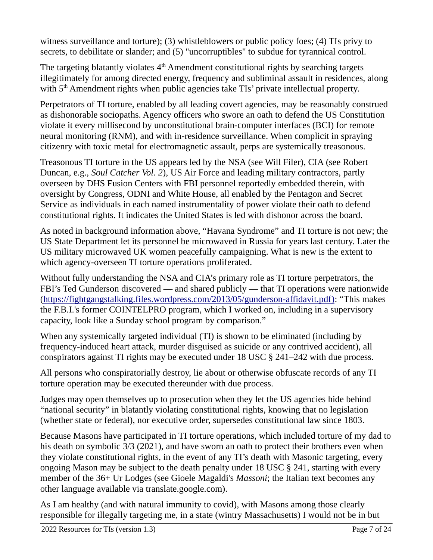witness surveillance and torture); (3) whistleblowers or public policy foes; (4) TIs privy to secrets, to debilitate or slander; and (5) "uncorruptibles" to subdue for tyrannical control.

The targeting blatantly violates  $4<sup>th</sup>$  Amendment constitutional rights by searching targets illegitimately for among directed energy, frequency and subliminal assault in residences, along with  $5<sup>th</sup>$  Amendment rights when public agencies take TIs' private intellectual property.

Perpetrators of TI torture, enabled by all leading covert agencies, may be reasonably construed as dishonorable sociopaths. Agency officers who swore an oath to defend the US Constitution violate it every millisecond by unconstitutional brain-computer interfaces (BCI) for remote neural monitoring (RNM), and with in-residence surveillance. When complicit in spraying citizenry with toxic metal for electromagnetic assault, perps are systemically treasonous.

Treasonous TI torture in the US appears led by the NSA (see Will Filer), CIA (see Robert Duncan, e.g., Soul Catcher Vol. 2), US Air Force and leading military contractors, partly overseen by DHS Fusion Centers with FBI personnel reportedly embedded therein, with oversight by Congress, ODNI and White House, all enabled by the Pentagon and Secret Service as individuals in each named instrumentality of power violate their oath to defend constitutional rights. It indicates the United States is led with dishonor across the board.

As noted in background information above, "Havana Syndrome" and TI torture is not new; the US State Department let its personnel be microwaved in Russia for years last century. Later the US military microwaved UK women peacefully campaigning. What is new is the extent to which agency-overseen TI torture operations proliferated.

Without fully understanding the NSA and CIA's primary role as TI torture perpetrators, the FBI's Ted Gunderson discovered — and shared publicly — that TI operations were nationwide (https://fightgangstalking.files.wordpress.com/2013/05/gunderson-affidavit.pdf): "This makes the F.B.I.'s former COINTELPRO program, which I worked on, including in a supervisory capacity, look like a Sunday school program by comparison."

When any systemically targeted individual (TI) is shown to be eliminated (including by frequency-induced heart attack, murder disguised as suicide or any contrived accident), all conspirators against TI rights may be executed under 18 USC § 241–242 with due process.

All persons who conspiratorially destroy, lie about or otherwise obfuscate records of any TI torture operation may be executed thereunder with due process.

Judges may open themselves up to prosecution when they let the US agencies hide behind "national security" in blatantly violating constitutional rights, knowing that no legislation (whether state or federal), nor executive order, supersedes constitutional law since 1803.

Because Masons have participated in TI torture operations, which included torture of my dad to his death on symbolic 3/3 (2021), and have sworn an oath to protect their brothers even when they violate constitutional rights, in the event of any TI's death with Masonic targeting, every ongoing Mason may be subject to the death penalty under 18 USC § 241, starting with every member of the 36+ Ur Lodges (see Gioele Magaldi's Massoni; the Italian text becomes any other language available via translate.google.com).

As I am healthy (and with natural immunity to covid), with Masons among those clearly responsible for illegally targeting me, in a state (wintry Massachusetts) I would not be in but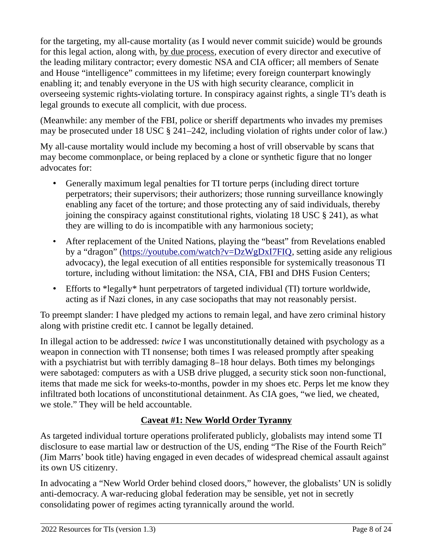for the targeting, my all-cause mortality (as I would never commit suicide) would be grounds for this legal action, along with, by due process, execution of every director and executive of the leading military contractor; every domestic NSA and CIA officer; all members of Senate and House "intelligence" committees in my lifetime; every foreign counterpart knowingly enabling it; and tenably everyone in the US with high security clearance, complicit in overseeing systemic rights-violating torture. In conspiracy against rights, a single TI's death is legal grounds to execute all complicit, with due process.

(Meanwhile: any member of the FBI, police or sheriff departments who invades my premises may be prosecuted under 18 USC § 241–242, including violation of rights under color of law.)

My all-cause mortality would include my becoming a host of vrill observable by scans that may become commonplace, or being replaced by a clone or synthetic figure that no longer advocates for:

- Generally maximum legal penalties for TI torture perps (including direct torture perpetrators; their supervisors; their authorizers; those running surveillance knowingly enabling any facet of the torture; and those protecting any of said individuals, thereby joining the conspiracy against constitutional rights, violating 18 USC § 241), as what they are willing to do is incompatible with any harmonious society;
- After replacement of the United Nations, playing the "beast" from Revelations enabled by a "dragon" (https://youtube.com/watch?v=DzWgDxI7FIQ, setting aside any religious advocacy), the legal execution of all entities responsible for systemically treasonous TI torture, including without limitation: the NSA, CIA, FBI and DHS Fusion Centers;
- Efforts to \*legally\* hunt perpetrators of targeted individual (TI) torture worldwide, acting as if Nazi clones, in any case sociopaths that may not reasonably persist.

To preempt slander: I have pledged my actions to remain legal, and have zero criminal history along with pristine credit etc. I cannot be legally detained.

In illegal action to be addressed: twice I was unconstitutionally detained with psychology as a weapon in connection with TI nonsense; both times I was released promptly after speaking with a psychiatrist but with terribly damaging 8–18 hour delays. Both times my belongings were sabotaged: computers as with a USB drive plugged, a security stick soon non-functional, items that made me sick for weeks-to-months, powder in my shoes etc. Perps let me know they infiltrated both locations of unconstitutional detainment. As CIA goes, "we lied, we cheated, we stole." They will be held accountable.

# **Caveat #1: New World Order Tyranny**

As targeted individual torture operations proliferated publicly, globalists may intend some TI disclosure to ease martial law or destruction of the US, ending "The Rise of the Fourth Reich" (Jim Marrs' book title) having engaged in even decades of widespread chemical assault against its own US citizenry.

In advocating a "New World Order behind closed doors," however, the globalists' UN is solidly anti-democracy. A war-reducing global federation may be sensible, yet not in secretly consolidating power of regimes acting tyrannically around the world.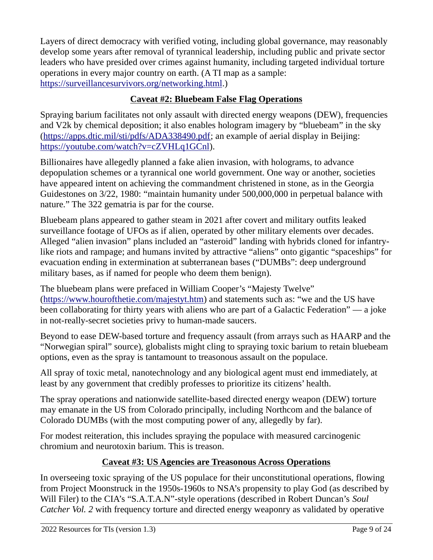Layers of direct democracy with verified voting, including global governance, may reasonably develop some years after removal of tyrannical leadership, including public and private sector leaders who have presided over crimes against humanity, including targeted individual torture operations in every major country on earth. (A TI map as a sample: https://surveillancesurvivors.org/networking.html.)

# **Caveat #2: Bluebeam False Flag Operations**

Spraying barium facilitates not only assault with directed energy weapons (DEW), frequencies and V2k by chemical deposition; it also enables hologram imagery by "bluebeam" in the sky (https://apps.dtic.mil/sti/pdfs/ADA338490.pdf; an example of aerial display in Beijing: https://youtube.com/watch?v=cZVHLq1GCnl).

Billionaires have allegedly planned a fake alien invasion, with holograms, to advance depopulation schemes or a tyrannical one world government. One way or another, societies have appeared intent on achieving the commandment christened in stone, as in the Georgia Guidestones on 3/22, 1980: "maintain humanity under 500,000,000 in perpetual balance with nature." The 322 gematria is par for the course.

Bluebeam plans appeared to gather steam in 2021 after covert and military outfits leaked surveillance footage of UFOs as if alien, operated by other military elements over decades. Alleged "alien invasion" plans included an "asteroid" landing with hybrids cloned for infantrylike riots and rampage; and humans invited by attractive "aliens" onto gigantic "spaceships" for evacuation ending in extermination at subterranean bases ("DUMBs": deep underground military bases, as if named for people who deem them benign).

The bluebeam plans were prefaced in William Cooper's "Majesty Twelve" (https://www.hourofthetie.com/majestyt.htm) and statements such as: "we and the US have been collaborating for thirty years with aliens who are part of a Galactic Federation" — a joke in not-really-secret societies privy to human-made saucers.

Beyond to ease DEW-based torture and frequency assault (from arrays such as HAARP and the "Norwegian spiral" source), globalists might cling to spraying toxic barium to retain bluebeam options, even as the spray is tantamount to treasonous assault on the populace.

All spray of toxic metal, nanotechnology and any biological agent must end immediately, at least by any government that credibly professes to prioritize its citizens' health.

The spray operations and nationwide satellite-based directed energy weapon (DEW) torture may emanate in the US from Colorado principally, including Northcom and the balance of Colorado DUMBs (with the most computing power of any, allegedly by far).

For modest reiteration, this includes spraying the populace with measured carcinogenic chromium and neurotoxin barium. This is treason.

# Caveat #3: US Agencies are Treasonous Across Operations

In overseeing toxic spraying of the US populace for their unconstitutional operations, flowing from Project Moonstruck in the 1950s-1960s to NSA's propensity to play God (as described by Will Filer) to the CIA's "S.A.T.A.N"-style operations (described in Robert Duncan's Soul Catcher Vol. 2 with frequency torture and directed energy weaponry as validated by operative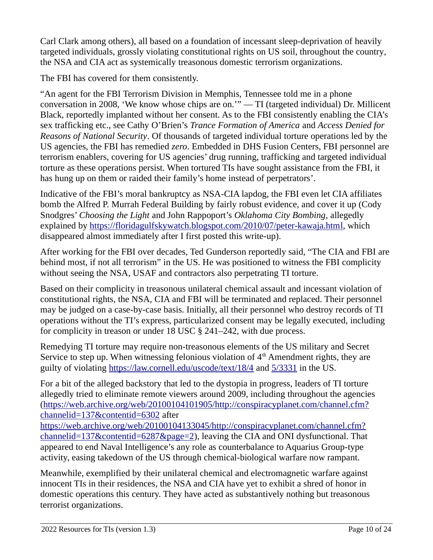Carl Clark among others), all based on a foundation of incessant sleep-deprivation of heavily targeted individuals, grossly violating constitutional rights on US soil, throughout the country, the NSA and CIA act as systemically treasonous domestic terrorism organizations.

The FBI has covered for them consistently.

"An agent for the FBI Terrorism Division in Memphis, Tennessee told me in a phone conversation in 2008, 'We know whose chips are on.'" — TI (targeted individual) Dr. Millicent Black, reportedly implanted without her consent. As to the FBI consistently enabling the CIA's sex trafficking etc., see Cathy O'Brien's Trance Formation of America and Access Denied for Reasons of National Security. Of thousands of targeted individual torture operations led by the US agencies, the FBI has remedied zero. Embedded in DHS Fusion Centers, FBI personnel are terrorism enablers, covering for US agencies' drug running, trafficking and targeted individual torture as these operations persist. When tortured TIs have sought assistance from the FBI, it has hung up on them or raided their family's home instead of perpetrators'.

Indicative of the FBI's moral bankruptcy as NSA-CIA lapdog, the FBI even let CIA affiliates bomb the Alfred P. Murrah Federal Building by fairly robust evidence, and cover it up (Cody Snodgres' Choosing the Light and John Rappoport's Oklahoma City Bombing, allegedly explained by https://floridagulfskywatch.blogspot.com/2010/07/peter-kawaja.html, which disappeared almost immediately after I first posted this write-up).

After working for the FBI over decades, Ted Gunderson reportedly said, "The CIA and FBI are behind most, if not all terrorism" in the US. He was positioned to witness the FBI complicity without seeing the NSA, USAF and contractors also perpetrating TI torture.

Based on their complicity in treasonous unilateral chemical assault and incessant violation of constitutional rights, the NSA, CIA and FBI will be terminated and replaced. Their personnel may be judged on a case-by-case basis. Initially, all their personnel who destroy records of TI operations without the TI's express, particularized consent may be legally executed, including for complicity in treason or under 18 USC § 241–242, with due process.

Remedying TI torture may require non-treasonous elements of the US military and Secret Service to step up. When witnessing felonious violation of  $4<sup>th</sup>$  Amendment rights, they are guilty of violating https://law.cornell.edu/uscode/text/18/4 and 5/3331 in the US.

For a bit of the alleged backstory that led to the dystopia in progress, leaders of TI torture allegedly tried to eliminate remote viewers around 2009, including throughout the agencies (https://web.archive.org/web/20100104101905/http://conspiracyplanet.com/channel.cfm? channelid=137&contentid=6302 after

https://web.archive.org/web/20100104133045/http://conspiracyplanet.com/channel.cfm? channelid=137&contentid=6287&page=2), leaving the CIA and ONI dysfunctional. That appeared to end Naval Intelligence's any role as counterbalance to Aquarius Group-type activity, easing takedown of the US through chemical-biological warfare now rampant.

Meanwhile, exemplified by their unilateral chemical and electromagnetic warfare against innocent TIs in their residences, the NSA and CIA have yet to exhibit a shred of honor in domestic operations this century. They have acted as substantively nothing but treasonous terrorist organizations.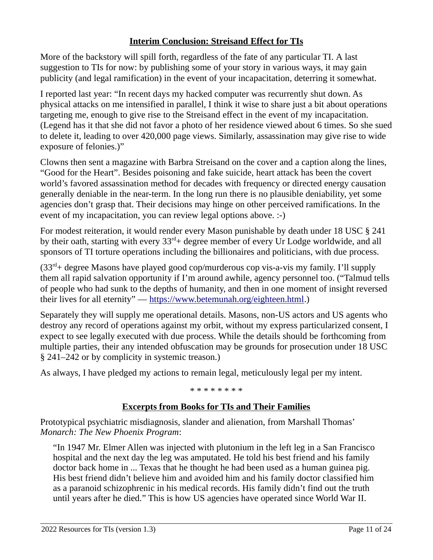#### Interim Conclusion: Streisand Effect for TIs

More of the backstory will spill forth, regardless of the fate of any particular TI. A last suggestion to TIs for now: by publishing some of your story in various ways, it may gain publicity (and legal ramification) in the event of your incapacitation, deterring it somewhat.

I reported last year: "In recent days my hacked computer was recurrently shut down. As physical attacks on me intensified in parallel, I think it wise to share just a bit about operations targeting me, enough to give rise to the Streisand effect in the event of my incapacitation. (Legend has it that she did not favor a photo of her residence viewed about 6 times. So she sued to delete it, leading to over 420,000 page views. Similarly, assassination may give rise to wide exposure of felonies.)"

Clowns then sent a magazine with Barbra Streisand on the cover and a caption along the lines, "Good for the Heart". Besides poisoning and fake suicide, heart attack has been the covert world's favored assassination method for decades with frequency or directed energy causation generally deniable in the near-term. In the long run there is no plausible deniability, yet some agencies don't grasp that. Their decisions may hinge on other perceived ramifications. In the event of my incapacitation, you can review legal options above. :-)

For modest reiteration, it would render every Mason punishable by death under 18 USC § 241 by their oath, starting with every 33<sup>rd</sup>+ degree member of every Ur Lodge worldwide, and all sponsors of TI torture operations including the billionaires and politicians, with due process.

 $(33<sup>rd</sup> +$  degree Masons have played good cop/murderous cop vis-a-vis my family. I'll supply them all rapid salvation opportunity if I'm around awhile, agency personnel too. ("Talmud tells of people who had sunk to the depths of humanity, and then in one moment of insight reversed their lives for all eternity" — https://www.betemunah.org/eighteen.html.)

Separately they will supply me operational details. Masons, non-US actors and US agents who destroy any record of operations against my orbit, without my express particularized consent, I expect to see legally executed with due process. While the details should be forthcoming from multiple parties, their any intended obfuscation may be grounds for prosecution under 18 USC § 241–242 or by complicity in systemic treason.)

As always, I have pledged my actions to remain legal, meticulously legal per my intent.

#### \* \* \* \* \* \* \* \*

#### Excerpts from Books for TIs and Their Families

Prototypical psychiatric misdiagnosis, slander and alienation, from Marshall Thomas' Monarch: The New Phoenix Program:

"In 1947 Mr. Elmer Allen was injected with plutonium in the left leg in a San Francisco hospital and the next day the leg was amputated. He told his best friend and his family doctor back home in ... Texas that he thought he had been used as a human guinea pig. His best friend didn't believe him and avoided him and his family doctor classified him as a paranoid schizophrenic in his medical records. His family didn't find out the truth until years after he died." This is how US agencies have operated since World War II.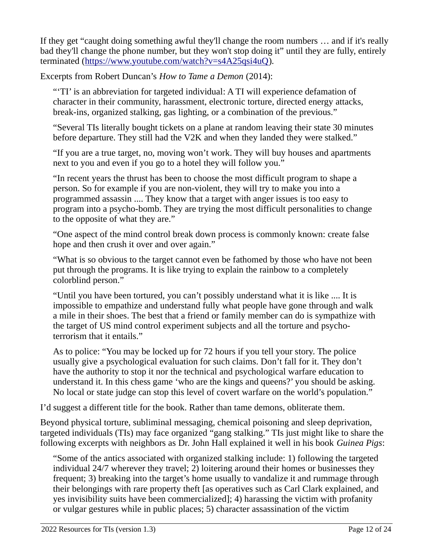If they get "caught doing something awful they'll change the room numbers … and if it's really bad they'll change the phone number, but they won't stop doing it" until they are fully, entirely terminated (https://www.youtube.com/watch?v=s4A25qsi4uQ).

Excerpts from Robert Duncan's How to Tame a Demon (2014):

"'TI' is an abbreviation for targeted individual: A TI will experience defamation of character in their community, harassment, electronic torture, directed energy attacks, break-ins, organized stalking, gas lighting, or a combination of the previous."

"Several TIs literally bought tickets on a plane at random leaving their state 30 minutes before departure. They still had the V2K and when they landed they were stalked."

"If you are a true target, no, moving won't work. They will buy houses and apartments next to you and even if you go to a hotel they will follow you."

"In recent years the thrust has been to choose the most difficult program to shape a person. So for example if you are non-violent, they will try to make you into a programmed assassin .... They know that a target with anger issues is too easy to program into a psycho-bomb. They are trying the most difficult personalities to change to the opposite of what they are."

"One aspect of the mind control break down process is commonly known: create false hope and then crush it over and over again."

"What is so obvious to the target cannot even be fathomed by those who have not been put through the programs. It is like trying to explain the rainbow to a completely colorblind person."

"Until you have been tortured, you can't possibly understand what it is like .... It is impossible to empathize and understand fully what people have gone through and walk a mile in their shoes. The best that a friend or family member can do is sympathize with the target of US mind control experiment subjects and all the torture and psychoterrorism that it entails."

As to police: "You may be locked up for 72 hours if you tell your story. The police usually give a psychological evaluation for such claims. Don't fall for it. They don't have the authority to stop it nor the technical and psychological warfare education to understand it. In this chess game 'who are the kings and queens?' you should be asking. No local or state judge can stop this level of covert warfare on the world's population."

I'd suggest a different title for the book. Rather than tame demons, obliterate them.

Beyond physical torture, subliminal messaging, chemical poisoning and sleep deprivation, targeted individuals (TIs) may face organized "gang stalking." TIs just might like to share the following excerpts with neighbors as Dr. John Hall explained it well in his book Guinea Pigs:

"Some of the antics associated with organized stalking include: 1) following the targeted individual 24/7 wherever they travel; 2) loitering around their homes or businesses they frequent; 3) breaking into the target's home usually to vandalize it and rummage through their belongings with rare property theft [as operatives such as Carl Clark explained, and yes invisibility suits have been commercialized]; 4) harassing the victim with profanity or vulgar gestures while in public places; 5) character assassination of the victim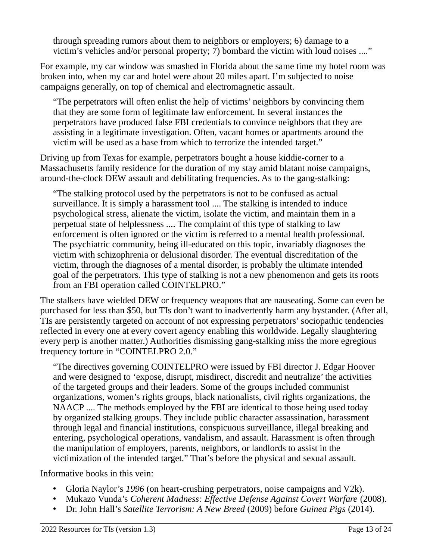through spreading rumors about them to neighbors or employers; 6) damage to a victim's vehicles and/or personal property; 7) bombard the victim with loud noises ...."

For example, my car window was smashed in Florida about the same time my hotel room was broken into, when my car and hotel were about 20 miles apart. I'm subjected to noise campaigns generally, on top of chemical and electromagnetic assault.

"The perpetrators will often enlist the help of victims' neighbors by convincing them that they are some form of legitimate law enforcement. In several instances the perpetrators have produced false FBI credentials to convince neighbors that they are assisting in a legitimate investigation. Often, vacant homes or apartments around the victim will be used as a base from which to terrorize the intended target."

Driving up from Texas for example, perpetrators bought a house kiddie-corner to a Massachusetts family residence for the duration of my stay amid blatant noise campaigns, around-the-clock DEW assault and debilitating frequencies. As to the gang-stalking:

"The stalking protocol used by the perpetrators is not to be confused as actual surveillance. It is simply a harassment tool .... The stalking is intended to induce psychological stress, alienate the victim, isolate the victim, and maintain them in a perpetual state of helplessness .... The complaint of this type of stalking to law enforcement is often ignored or the victim is referred to a mental health professional. The psychiatric community, being ill-educated on this topic, invariably diagnoses the victim with schizophrenia or delusional disorder. The eventual discreditation of the victim, through the diagnoses of a mental disorder, is probably the ultimate intended goal of the perpetrators. This type of stalking is not a new phenomenon and gets its roots from an FBI operation called COINTELPRO."

The stalkers have wielded DEW or frequency weapons that are nauseating. Some can even be purchased for less than \$50, but TIs don't want to inadvertently harm any bystander. (After all, TIs are persistently targeted on account of not expressing perpetrators' sociopathic tendencies reflected in every one at every covert agency enabling this worldwide. Legally slaughtering every perp is another matter.) Authorities dismissing gang-stalking miss the more egregious frequency torture in "COINTELPRO 2.0."

"The directives governing COINTELPRO were issued by FBI director J. Edgar Hoover and were designed to 'expose, disrupt, misdirect, discredit and neutralize' the activities of the targeted groups and their leaders. Some of the groups included communist organizations, women's rights groups, black nationalists, civil rights organizations, the NAACP .... The methods employed by the FBI are identical to those being used today by organized stalking groups. They include public character assassination, harassment through legal and financial institutions, conspicuous surveillance, illegal breaking and entering, psychological operations, vandalism, and assault. Harassment is often through the manipulation of employers, parents, neighbors, or landlords to assist in the victimization of the intended target." That's before the physical and sexual assault.

Informative books in this vein:

- Gloria Naylor's 1996 (on heart-crushing perpetrators, noise campaigns and V2k).
- Mukazo Vunda's Coherent Madness: Effective Defense Against Covert Warfare (2008).
- Dr. John Hall's Satellite Terrorism: A New Breed (2009) before Guinea Pigs (2014).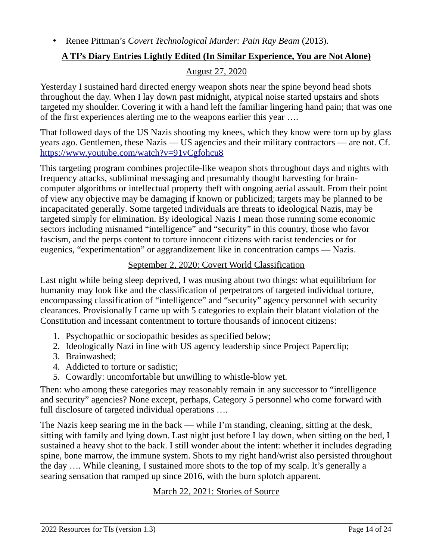• Renee Pittman's Covert Technological Murder: Pain Ray Beam (2013).

#### A TI's Diary Entries Lightly Edited (In Similar Experience, You are Not Alone)

#### August 27, 2020

Yesterday I sustained hard directed energy weapon shots near the spine beyond head shots throughout the day. When I lay down past midnight, atypical noise started upstairs and shots targeted my shoulder. Covering it with a hand left the familiar lingering hand pain; that was one of the first experiences alerting me to the weapons earlier this year ….

That followed days of the US Nazis shooting my knees, which they know were torn up by glass years ago. Gentlemen, these Nazis — US agencies and their military contractors — are not. Cf. https://www. youtube.com/watch?v=91vCgfohcu8

This targeting program combines projectile-like weapon shots throughout days and nights with frequency attacks, subliminal messaging and presumably thought harvesting for braincomputer algorithms or intellectual property theft with ongoing aerial assault. From their point of view any objective may be damaging if known or publicized; targets may be planned to be incapacitated generally. Some targeted individuals are threats to ideological Nazis, may be targeted simply for elimination. By ideological Nazis I mean those running some economic sectors including misnamed "intelligence" and "security" in this country, those who favor fascism, and the perps content to torture innocent citizens with racist tendencies or for eugenics, "experimentation" or aggrandizement like in concentration camps — Nazis.

#### September 2, 2020: Covert World Classification

Last night while being sleep deprived, I was musing about two things: what equilibrium for humanity may look like and the classification of perpetrators of targeted individual torture, encompassing classification of "intelligence" and "security" agency personnel with security clearances. Provisionally I came up with 5 categories to explain their blatant violation of the Constitution and incessant contentment to torture thousands of innocent citizens:

- 1. Psychopathic or sociopathic besides as specified below;
- 2. Ideologically Nazi in line with US agency leadership since Project Paperclip;
- 3. Brainwashed;
- 4. Addicted to torture or sadistic;
- 5. Cowardly: uncomfortable but unwilling to whistle-blow yet.

Then: who among these categories may reasonably remain in any successor to "intelligence and security" agencies? None except, perhaps, Category 5 personnel who come forward with full disclosure of targeted individual operations ….

The Nazis keep searing me in the back — while I'm standing, cleaning, sitting at the desk, sitting with family and lying down. Last night just before I lay down, when sitting on the bed, I sustained a heavy shot to the back. I still wonder about the intent: whether it includes degrading spine, bone marrow, the immune system. Shots to my right hand/wrist also persisted throughout the day …. While cleaning, I sustained more shots to the top of my scalp. It's generally a searing sensation that ramped up since 2016, with the burn splotch apparent.

#### March 22, 2021: Stories of Source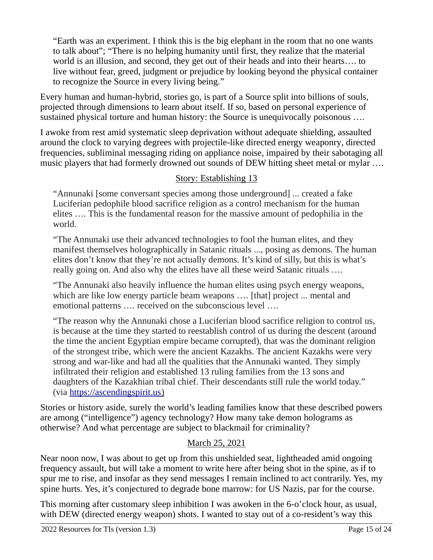"Earth was an experiment. I think this is the big elephant in the room that no one wants to talk about"; "There is no helping humanity until first, they realize that the material world is an illusion, and second, they get out of their heads and into their hearts…. to live without fear, greed, judgment or prejudice by looking beyond the physical container to recognize the Source in every living being."

Every human and human-hybrid, stories go, is part of a Source split into billions of souls, projected through dimensions to learn about itself. If so, based on personal experience of sustained physical torture and human history: the Source is unequivocally poisonous ....

I awoke from rest amid systematic sleep deprivation without adequate shielding, assaulted around the clock to varying degrees with projectile-like directed energy weaponry, directed frequencies, subliminal messaging riding on appliance noise, impaired by their sabotaging all music players that had formerly drowned out sounds of DEW hitting sheet metal or mylar ....

### Story: Establishing 13

"Annunaki [some conversant species among those underground] ... created a fake Luciferian pedophile blood sacrifice religion as a control mechanism for the human elites …. This is the fundamental reason for the massive amount of pedophilia in the world.

"The Annunaki use their advanced technologies to fool the human elites, and they manifest themselves holographically in Satanic rituals ..., posing as demons. The human elites don't know that they're not actually demons. It's kind of silly, but this is what's really going on. And also why the elites have all these weird Satanic rituals ….

"The Annunaki also heavily influence the human elites using psych energy weapons, which are like low energy particle beam weapons .... [that] project ... mental and emotional patterns …. received on the subconscious level ….

"The reason why the Annunaki chose a Luciferian blood sacrifice religion to control us, is because at the time they started to reestablish control of us during the descent (around the time the ancient Egyptian empire became corrupted), that was the dominant religion of the strongest tribe, which were the ancient Kazakhs. The ancient Kazakhs were very strong and war-like and had all the qualities that the Annunaki wanted. They simply infiltrated their religion and established 13 ruling families from the 13 sons and daughters of the Kazakhian tribal chief. Their descendants still rule the world today." (via https://ascendingspirit.us )

Stories or history aside, surely the world's leading families know that these described powers are among ("intelligence") agency technology? How many take demon holograms as otherwise? And what percentage are subject to blackmail for criminality?

### March 25, 2021

Near noon now, I was about to get up from this unshielded seat, lightheaded amid ongoing frequency assault, but will take a moment to write here after being shot in the spine, as if to spur me to rise, and insofar as they send messages I remain inclined to act contrarily. Yes, my spine hurts. Yes, it's conjectured to degrade bone marrow: for US Nazis, par for the course.

This morning after customary sleep inhibition I was awoken in the 6-o'clock hour, as usual, with DEW (directed energy weapon) shots. I wanted to stay out of a co-resident's way this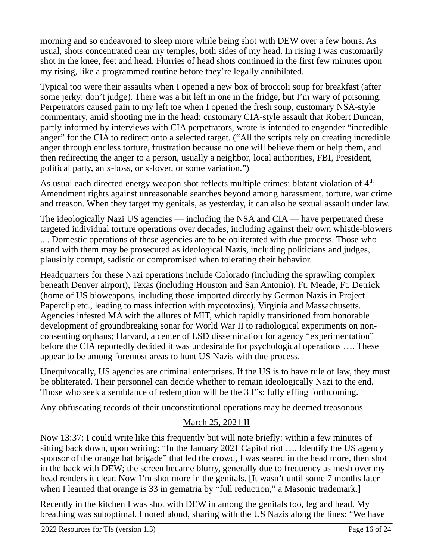morning and so endeavored to sleep more while being shot with DEW over a few hours. As usual, shots concentrated near my temples, both sides of my head. In rising I was customarily shot in the knee, feet and head. Flurries of head shots continued in the first few minutes upon my rising, like a programmed routine before they're legally annihilated.

Typical too were their assaults when I opened a new box of broccoli soup for breakfast (after some jerky: don't judge). There was a bit left in one in the fridge, but I'm wary of poisoning. Perpetrators caused pain to my left toe when I opened the fresh soup, customary NSA-style commentary, amid shooting me in the head: customary CIA-style assault that Robert Duncan, partly informed by interviews with CIA perpetrators, wrote is intended to engender "incredible anger" for the CIA to redirect onto a selected target. ("All the scripts rely on creating incredible anger through endless torture, frustration because no one will believe them or help them, and then redirecting the anger to a person, usually a neighbor, local authorities, FBI, President, political party, an x-boss, or x-lover, or some variation.")

As usual each directed energy weapon shot reflects multiple crimes: blatant violation of  $4<sup>th</sup>$ Amendment rights against unreasonable searches beyond among harassment, torture, war crime and treason. When they target my genitals, as yesterday, it can also be sexual assault under law.

The ideologically Nazi US agencies — including the NSA and CIA — have perpetrated these targeted individual torture operations over decades, including against their own whistle-blowers .... Domestic operations of these agencies are to be obliterated with due process. Those who stand with them may be prosecuted as ideological Nazis, including politicians and judges, plausibly corrupt, sadistic or compromised when tolerating their behavior.

Headquarters for these Nazi operations include Colorado (including the sprawling complex beneath Denver airport), Texas (including Houston and San Antonio), Ft. Meade, Ft. Detrick (home of US bioweapons, including those imported directly by German Nazis in Project Paperclip etc., leading to mass infection with mycotoxins), Virginia and Massachusetts. Agencies infested MA with the allures of MIT, which rapidly transitioned from honorable development of groundbreaking sonar for World War II to radiological experiments on nonconsenting orphans; Harvard, a center of LSD dissemination for agency "experimentation" before the CIA reportedly decided it was undesirable for psychological operations …. These appear to be among foremost areas to hunt US Nazis with due process.

Unequivocally, US agencies are criminal enterprises. If the US is to have rule of law, they must be obliterated. Their personnel can decide whether to remain ideologically Nazi to the end. Those who seek a semblance of redemption will be the 3 F's: fully effing forthcoming.

Any obfuscating records of their unconstitutional operations may be deemed treasonous.

# March 25, 2021 II

Now 13:37: I could write like this frequently but will note briefly: within a few minutes of sitting back down, upon writing: "In the January 2021 Capitol riot …. Identify the US agency sponsor of the orange hat brigade" that led the crowd, I was seared in the head more, then shot in the back with DEW; the screen became blurry, generally due to frequency as mesh over my head renders it clear. Now I'm shot more in the genitals. [It wasn't until some 7 months later when I learned that orange is 33 in gematria by "full reduction," a Masonic trademark.]

Recently in the kitchen I was shot with DEW in among the genitals too, leg and head. My breathing was suboptimal. I noted aloud, sharing with the US Nazis along the lines: "We have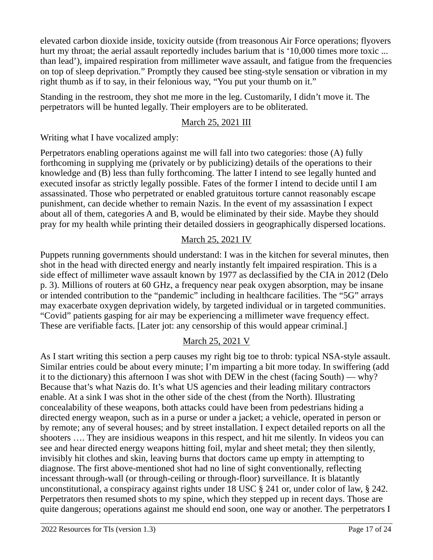elevated carbon dioxide inside, toxicity outside (from treasonous Air Force operations; flyovers hurt my throat; the aerial assault reportedly includes barium that is '10,000 times more toxic ... than lead'), impaired respiration from millimeter wave assault, and fatigue from the frequencies on top of sleep deprivation." Promptly they caused bee sting-style sensation or vibration in my right thumb as if to say, in their felonious way, "You put your thumb on it."

Standing in the restroom, they shot me more in the leg. Customarily, I didn't move it. The perpetrators will be hunted legally. Their employers are to be obliterated.

### March 25, 2021 III

Writing what I have vocalized amply:

Perpetrators enabling operations against me will fall into two categories: those (A) fully forthcoming in supplying me (privately or by publicizing) details of the operations to their knowledge and (B) less than fully forthcoming. The latter I intend to see legally hunted and executed insofar as strictly legally possible. Fates of the former I intend to decide until I am assassinated. Those who perpetrated or enabled gratuitous torture cannot reasonably escape punishment, can decide whether to remain Nazis. In the event of my assassination I expect about all of them, categories A and B, would be eliminated by their side. Maybe they should pray for my health while printing their detailed dossiers in geographically dispersed locations.

### March 25, 2021 IV

Puppets running governments should understand: I was in the kitchen for several minutes, then shot in the head with directed energy and nearly instantly felt impaired respiration. This is a side effect of millimeter wave assault known by 1977 as declassified by the CIA in 2012 (Delo p. 3). Millions of routers at 60 GHz, a frequency near peak oxygen absorption, may be insane or intended contribution to the "pandemic" including in healthcare facilities. The "5G" arrays may exacerbate oxygen deprivation widely, by targeted individual or in targeted communities. "Covid" patients gasping for air may be experiencing a millimeter wave frequency effect. These are verifiable facts. [Later jot: any censorship of this would appear criminal.]

### March 25, 2021 V

As I start writing this section a perp causes my right big toe to throb: typical NSA-style assault. Similar entries could be about every minute; I'm imparting a bit more today. In swiffering (add it to the dictionary) this afternoon I was shot with DEW in the chest (facing South) — why? Because that's what Nazis do. It's what US agencies and their leading military contractors enable. At a sink I was shot in the other side of the chest (from the North). Illustrating concealability of these weapons, both attacks could have been from pedestrians hiding a directed energy weapon, such as in a purse or under a jacket; a vehicle, operated in person or by remote; any of several houses; and by street installation. I expect detailed reports on all the shooters …. They are insidious weapons in this respect, and hit me silently. In videos you can see and hear directed energy weapons hitting foil, mylar and sheet metal; they then silently, invisibly hit clothes and skin, leaving burns that doctors came up empty in attempting to diagnose. The first above-mentioned shot had no line of sight conventionally, reflecting incessant through-wall (or through-ceiling or through-floor) surveillance. It is blatantly unconstitutional, a conspiracy against rights under 18 USC § 241 or, under color of law, § 242. Perpetrators then resumed shots to my spine, which they stepped up in recent days. Those are quite dangerous; operations against me should end soon, one way or another. The perpetrators I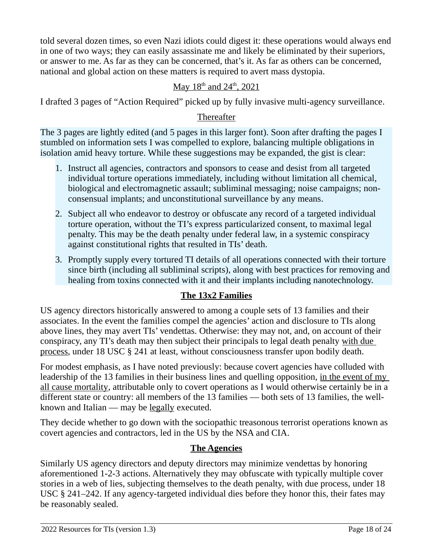told several dozen times, so even Nazi idiots could digest it: these operations would always end in one of two ways; they can easily assassinate me and likely be eliminated by their superiors, or answer to me. As far as they can be concerned, that's it. As far as others can be concerned, national and global action on these matters is required to avert mass dystopia.

# May  $18^{\text{th}}$  and  $24^{\text{th}}$ , 2021

I drafted 3 pages of "Action Required" picked up by fully invasive multi-agency surveillance.

## **Thereafter**

The 3 pages are lightly edited (and 5 pages in this larger font). Soon after drafting the pages I stumbled on information sets I was compelled to explore, balancing multiple obligations in isolation amid heavy torture. While these suggestions may be expanded, the gist is clear:

- 1. Instruct all agencies, contractors and sponsors to cease and desist from all targeted individual torture operations immediately, including without limitation all chemical, biological and electromagnetic assault; subliminal messaging; noise campaigns; nonconsensual implants; and unconstitutional surveillance by any means.
- 2. Subject all who endeavor to destroy or obfuscate any record of a targeted individual torture operation, without the TI's express particularized consent, to maximal legal penalty. This may be the death penalty under federal law, in a systemic conspiracy against constitutional rights that resulted in TIs' death.
- 3. Promptly supply every tortured TI details of all operations connected with their torture since birth (including all subliminal scripts), along with best practices for removing and healing from toxins connected with it and their implants including nanotechnology.

# The 13x2 Families

US agency directors historically answered to among a couple sets of 13 families and their associates. In the event the families compel the agencies' action and disclosure to TIs along above lines, they may avert TIs' vendettas. Otherwise: they may not, and, on account of their conspiracy, any TI's death may then subject their principals to legal death penalty with due process, under 18 USC § 241 at least, without consciousness transfer upon bodily death.

For modest emphasis, as I have noted previously: because covert agencies have colluded with leadership of the 13 families in their business lines and quelling opposition, in the event of my all cause mortality, attributable only to covert operations as I would otherwise certainly be in a different state or country: all members of the 13 families — both sets of 13 families, the wellknown and Italian — may be legally executed.

They decide whether to go down with the sociopathic treasonous terrorist operations known as covert agencies and contractors, led in the US by the NSA and CIA.

### The Agencies

Similarly US agency directors and deputy directors may minimize vendettas by honoring aforementioned 1-2-3 actions. Alternatively they may obfuscate with typically multiple cover stories in a web of lies, subjecting themselves to the death penalty, with due process, under 18 USC § 241–242. If any agency-targeted individual dies before they honor this, their fates may be reasonably sealed.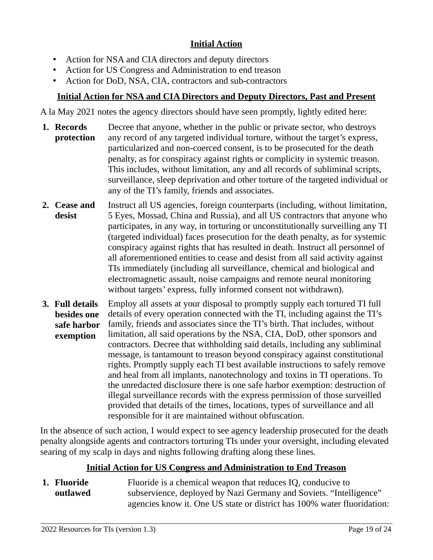### Initial Action

- Action for NSA and CIA directors and deputy directors
- Action for US Congress and Administration to end treason
- Action for DoD, NSA, CIA, contractors and sub-contractors

### Initial Action for NSA and CIA Directors and Deputy Directors, Past and Present

A la May 2021 notes the agency directors should have seen promptly, lightly edited here:

- 1. Records protection Decree that anyone, whether in the public or private sector, who destroys any record of any targeted individual torture, without the target's express, particularized and non-coerced consent, is to be prosecuted for the death penalty, as for conspiracy against rights or complicity in systemic treason. This includes, without limitation, any and all records of subliminal scripts, surveillance, sleep deprivation and other torture of the targeted individual or any of the TI's family, friends and associates.
- 2. Cease and desist Instruct all US agencies, foreign counterparts (including, without limitation, 5 Eyes, Mossad, China and Russia), and all US contractors that anyone who participates, in any way, in torturing or unconstitutionally surveilling any TI (targeted individual) faces prosecution for the death penalty, as for systemic conspiracy against rights that has resulted in death. Instruct all personnel of all aforementioned entities to cease and desist from all said activity against TIs immediately (including all surveillance, chemical and biological and electromagnetic assault, noise campaigns and remote neural monitoring without targets' express, fully informed consent not withdrawn).
- 3. Full details besides one safe harbor exemption Employ all assets at your disposal to promptly supply each tortured TI full details of every operation connected with the TI, including against the TI's family, friends and associates since the TI's birth. That includes, without limitation, all said operations by the NSA, CIA, DoD, other sponsors and contractors. Decree that withholding said details, including any subliminal message, is tantamount to treason beyond conspiracy against constitutional rights. Promptly supply each TI best available instructions to safely remove and heal from all implants, nanotechnology and toxins in TI operations. To the unredacted disclosure there is one safe harbor exemption: destruction of illegal surveillance records with the express permission of those surveilled provided that details of the times, locations, types of surveillance and all responsible for it are maintained without obfuscation.

In the absence of such action, I would expect to see agency leadership prosecuted for the death penalty alongside agents and contractors torturing TIs under your oversight, including elevated searing of my scalp in days and nights following drafting along these lines.

#### Initial Action for US Congress and Administration to End Treason

1. Fluoride outlawed Fluoride is a chemical weapon that reduces IQ, conducive to subservience, deployed by Nazi Germany and Soviets. "Intelligence" agencies know it. One US state or district has 100% water fluoridation: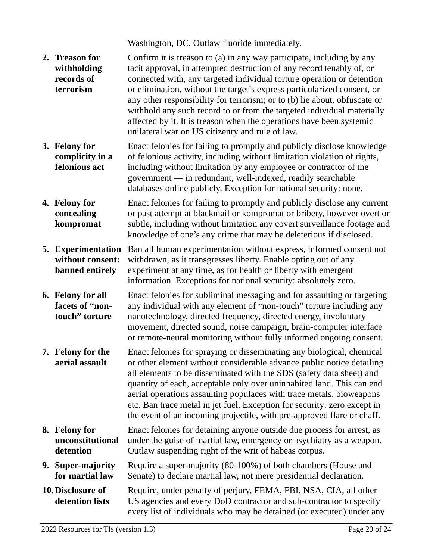Washington, DC. Outlaw fluoride immediately.

| 2. Treason for<br>withholding<br>records of<br>terrorism      | Confirm it is treason to (a) in any way participate, including by any<br>tacit approval, in attempted destruction of any record tenably of, or<br>connected with, any targeted individual torture operation or detention<br>or elimination, without the target's express particularized consent, or<br>any other responsibility for terrorism; or to (b) lie about, obfuscate or<br>withhold any such record to or from the targeted individual materially<br>affected by it. It is treason when the operations have been systemic<br>unilateral war on US citizenry and rule of law. |
|---------------------------------------------------------------|---------------------------------------------------------------------------------------------------------------------------------------------------------------------------------------------------------------------------------------------------------------------------------------------------------------------------------------------------------------------------------------------------------------------------------------------------------------------------------------------------------------------------------------------------------------------------------------|
| 3. Felony for<br>complicity in a<br>felonious act             | Enact felonies for failing to promptly and publicly disclose knowledge<br>of felonious activity, including without limitation violation of rights,<br>including without limitation by any employee or contractor of the<br>government - in redundant, well-indexed, readily searchable<br>databases online publicly. Exception for national security: none.                                                                                                                                                                                                                           |
| 4. Felony for<br>concealing<br>kompromat                      | Enact felonies for failing to promptly and publicly disclose any current<br>or past attempt at blackmail or kompromat or bribery, however overt or<br>subtle, including without limitation any covert surveillance footage and<br>knowledge of one's any crime that may be deleterious if disclosed.                                                                                                                                                                                                                                                                                  |
| 5. Experimentation<br>without consent:<br>banned entirely     | Ban all human experimentation without express, informed consent not<br>withdrawn, as it transgresses liberty. Enable opting out of any<br>experiment at any time, as for health or liberty with emergent<br>information. Exceptions for national security: absolutely zero.                                                                                                                                                                                                                                                                                                           |
| <b>6.</b> Felony for all<br>facets of "non-<br>touch" torture | Enact felonies for subliminal messaging and for assaulting or targeting<br>any individual with any element of "non-touch" torture including any<br>nanotechnology, directed frequency, directed energy, involuntary<br>movement, directed sound, noise campaign, brain-computer interface<br>or remote-neural monitoring without fully informed ongoing consent.                                                                                                                                                                                                                      |
| 7. Felony for the<br>aerial assault                           | Enact felonies for spraying or disseminating any biological, chemical<br>or other element without considerable advance public notice detailing<br>all elements to be disseminated with the SDS (safety data sheet) and<br>quantity of each, acceptable only over uninhabited land. This can end<br>aerial operations assaulting populaces with trace metals, bioweapons<br>etc. Ban trace metal in jet fuel. Exception for security: zero except in<br>the event of an incoming projectile, with pre-approved flare or chaff.                                                         |
| 8. Felony for<br>unconstitutional<br>detention                | Enact felonies for detaining anyone outside due process for arrest, as<br>under the guise of martial law, emergency or psychiatry as a weapon.<br>Outlaw suspending right of the writ of habeas corpus.                                                                                                                                                                                                                                                                                                                                                                               |
| 9. Super-majority<br>for martial law                          | Require a super-majority (80-100%) of both chambers (House and<br>Senate) to declare martial law, not mere presidential declaration.                                                                                                                                                                                                                                                                                                                                                                                                                                                  |
| 10. Disclosure of<br>detention lists                          | Require, under penalty of perjury, FEMA, FBI, NSA, CIA, all other<br>US agencies and every DoD contractor and sub-contractor to specify<br>every list of individuals who may be detained (or executed) under any                                                                                                                                                                                                                                                                                                                                                                      |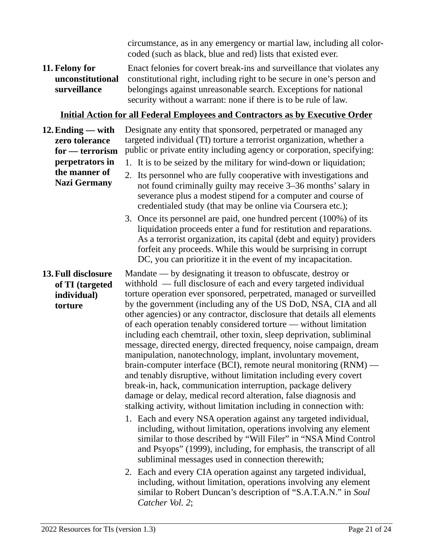circumstance, as in any emergency or martial law, including all colorcoded (such as black, blue and red) lists that existed ever.

11. Felony for unconstitutional surveillance Enact felonies for covert break-ins and surveillance that violates any constitutional right, including right to be secure in one's person and belongings against unreasonable search. Exceptions for national security without a warrant: none if there is to be rule of law.

#### **Initial Action for all Federal Employees and Contractors as by Executive Order**

12. Ending — with zero tolerance for — terrorism perpetrators in the manner of Nazi Germany

Designate any entity that sponsored, perpetrated or managed any targeted individual (TI) torture a terrorist organization, whether a public or private entity including agency or corporation, specifying:

- 1. It is to be seized by the military for wind-down or liquidation;
- 2. Its personnel who are fully cooperative with investigations and not found criminally guilty may receive 3–36 months' salary in severance plus a modest stipend for a computer and course of credentialed study (that may be online via Coursera etc.);
- 3. Once its personnel are paid, one hundred percent (100%) of its liquidation proceeds enter a fund for restitution and reparations. As a terrorist organization, its capital (debt and equity) providers forfeit any proceeds. While this would be surprising in corrupt DC, you can prioritize it in the event of my incapacitation.

13. Full disclosure of TI (targeted individual) torture Mandate — by designating it treason to obfuscate, destroy or withhold — full disclosure of each and every targeted individual torture operation ever sponsored, perpetrated, managed or surveilled by the government (including any of the US DoD, NSA, CIA and all other agencies) or any contractor, disclosure that details all elements of each operation tenably considered torture — without limitation including each chemtrail, other toxin, sleep deprivation, subliminal message, directed energy, directed frequency, noise campaign, dream manipulation, nanotechnology, implant, involuntary movement, brain-computer interface (BCI), remote neural monitoring (RNM) and tenably disruptive, without limitation including every covert break-in, hack, communication interruption, package delivery damage or delay, medical record alteration, false diagnosis and stalking activity, without limitation including in connection with:

- 1. Each and every NSA operation against any targeted individual, including, without limitation, operations involving any element similar to those described by "Will Filer" in "NSA Mind Control and Psyops" (1999), including, for emphasis, the transcript of all subliminal messages used in connection therewith;
- 2. Each and every CIA operation against any targeted individual, including, without limitation, operations involving any element similar to Robert Duncan's description of "S.A.T.A.N." in Soul Catcher Vol. 2;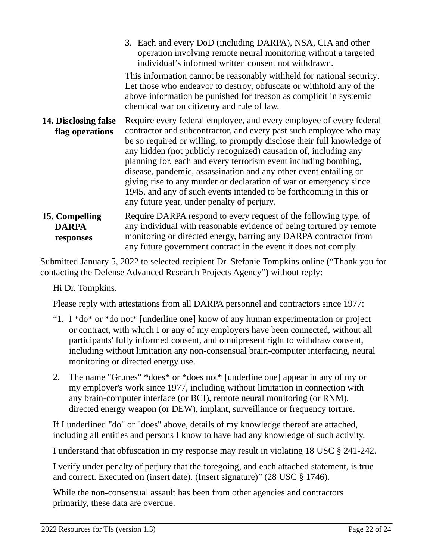|                                             | 3. Each and every DoD (including DARPA), NSA, CIA and other<br>operation involving remote neural monitoring without a targeted<br>individual's informed written consent not withdrawn.                                                                                                                                                                                                                                                                                                                                                                                                                                     |
|---------------------------------------------|----------------------------------------------------------------------------------------------------------------------------------------------------------------------------------------------------------------------------------------------------------------------------------------------------------------------------------------------------------------------------------------------------------------------------------------------------------------------------------------------------------------------------------------------------------------------------------------------------------------------------|
|                                             | This information cannot be reasonably withheld for national security.<br>Let those who endeavor to destroy, obfuscate or withhold any of the<br>above information be punished for treason as complicit in systemic<br>chemical war on citizenry and rule of law.                                                                                                                                                                                                                                                                                                                                                           |
| 14. Disclosing false<br>flag operations     | Require every federal employee, and every employee of every federal<br>contractor and subcontractor, and every past such employee who may<br>be so required or willing, to promptly disclose their full knowledge of<br>any hidden (not publicly recognized) causation of, including any<br>planning for, each and every terrorism event including bombing,<br>disease, pandemic, assassination and any other event entailing or<br>giving rise to any murder or declaration of war or emergency since<br>1945, and any of such events intended to be forthcoming in this or<br>any future year, under penalty of perjury. |
| 15. Compelling<br><b>DARPA</b><br>responses | Require DARPA respond to every request of the following type, of<br>any individual with reasonable evidence of being tortured by remote<br>monitoring or directed energy, barring any DARPA contractor from<br>any future government contract in the event it does not comply.                                                                                                                                                                                                                                                                                                                                             |

Submitted January 5, 2022 to selected recipient Dr. Stefanie Tompkins online ("Thank you for contacting the Defense Advanced Research Projects Agency") without reply:

Hi Dr. Tompkins,

Please reply with attestations from all DARPA personnel and contractors since 1977:

- "1. I \*do\* or \*do not\* [underline one] know of any human experimentation or project or contract, with which I or any of my employers have been connected, without all participants' fully informed consent, and omnipresent right to withdraw consent, including without limitation any non-consensual brain-computer interfacing, neural monitoring or directed energy use.
- 2. The name "Grunes" \*does\* or \*does not\* [underline one] appear in any of my or my employer's work since 1977, including without limitation in connection with any brain-computer interface (or BCI), remote neural monitoring (or RNM), directed energy weapon (or DEW), implant, surveillance or frequency torture.

If I underlined "do" or "does" above, details of my knowledge thereof are attached, including all entities and persons I know to have had any knowledge of such activity.

I understand that obfuscation in my response may result in violating 18 USC § 241-242.

I verify under penalty of perjury that the foregoing, and each attached statement, is true and correct. Executed on (insert date). (Insert signature)" (28 USC § 1746).

While the non-consensual assault has been from other agencies and contractors primarily, these data are overdue.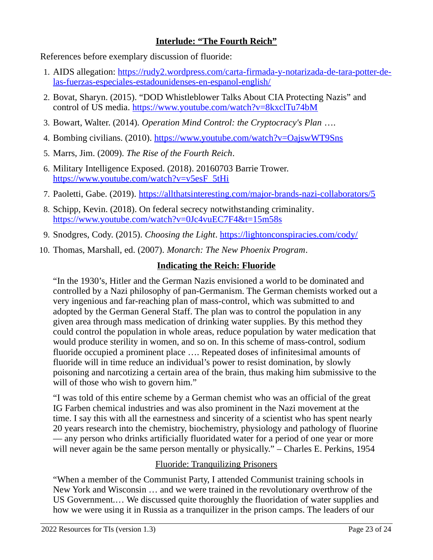#### Interlude: "The Fourth Reich"

References before exemplary discussion of fluoride:

- 1. AIDS allegation: https://rudy2.wordpress.com/carta-firmada-y-notarizada-de-tara-potter-delas-fuerzas-especiales-estadounidenses-en-espanol-english/
- 2. Bovat, Sharyn. (2015). "DOD Whistleblower Talks About CIA Protecting Nazis" and control of US media. https://www.youtube.com/watch?v=8kxclTu74bM
- 3. Bowart, Walter. (2014). Operation Mind Control: the Cryptocracy's Plan ….
- 4. Bombing civilians. (2010). https://www.youtube.com/watch?v=OajswWT9Sns
- 5. Marrs, Jim. (2009). The Rise of the Fourth Reich.
- 6. Military Intelligence Exposed. (2018). 20160703 Barrie Trower. https://www.youtube.com/watch?v=v5esF\_5tHi
- 7. Paoletti, Gabe. (2019). https://allthatsinteresting.com/major-brands-nazi-collaborators/5
- 8. Schipp, Kevin. (2018). On federal secrecy notwithstanding criminality. https://www.youtube.com/watch?v=0Jc4vuEC7F4&t=15m58s
- 9. Snodgres, Cody. (2015). Choosing the Light. https://lightonconspiracies.com/cody/
- 10. Thomas, Marshall, ed. (2007). Monarch: The New Phoenix Program.

#### Indicating the Reich: Fluoride

"In the 1930's, Hitler and the German Nazis envisioned a world to be dominated and controlled by a Nazi philosophy of pan-Germanism. The German chemists worked out a very ingenious and far-reaching plan of mass-control, which was submitted to and adopted by the German General Staff. The plan was to control the population in any given area through mass medication of drinking water supplies. By this method they could control the population in whole areas, reduce population by water medication that would produce sterility in women, and so on. In this scheme of mass-control, sodium fluoride occupied a prominent place …. Repeated doses of infinitesimal amounts of fluoride will in time reduce an individual's power to resist domination, by slowly poisoning and narcotizing a certain area of the brain, thus making him submissive to the will of those who wish to govern him."

"I was told of this entire scheme by a German chemist who was an official of the great IG Farben chemical industries and was also prominent in the Nazi movement at the time. I say this with all the earnestness and sincerity of a scientist who has spent nearly 20 years research into the chemistry, biochemistry, physiology and pathology of fluorine — any person who drinks artificially fluoridated water for a period of one year or more will never again be the same person mentally or physically." – Charles E. Perkins, 1954

#### Fluoride: Tranquilizing Prisoners

"When a member of the Communist Party, I attended Communist training schools in New York and Wisconsin … and we were trained in the revolutionary overthrow of the US Government.… We discussed quite thoroughly the fluoridation of water supplies and how we were using it in Russia as a tranquilizer in the prison camps. The leaders of our